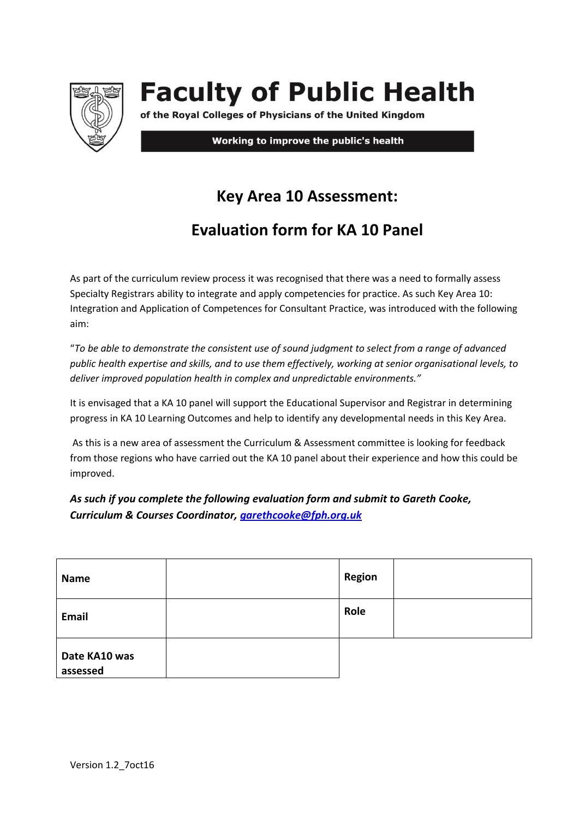

## **Faculty of Public Health**

of the Royal Colleges of Physicians of the United Kingdom

Working to improve the public's health

## **Key Area 10 Assessment:**

## **Evaluation form for KA 10 Panel**

As part of the curriculum review process it was recognised that there was a need to formally assess Specialty Registrars ability to integrate and apply competencies for practice. As such Key Area 10: Integration and Application of Competences for Consultant Practice, was introduced with the following aim:

"*To be able to demonstrate the consistent use of sound judgment to select from a range of advanced public health expertise and skills, and to use them effectively, working at senior organisational levels, to deliver improved population health in complex and unpredictable environments."*

It is envisaged that a KA 10 panel will support the Educational Supervisor and Registrar in determining progress in KA 10 Learning Outcomes and help to identify any developmental needs in this Key Area.

As this is a new area of assessment the Curriculum & Assessment committee is looking for feedback from those regions who have carried out the KA 10 panel about their experience and how this could be improved.

*As such if you complete the following evaluation form and submit to Gareth Cooke, Curriculum & Courses Coordinator[, garethcooke@fph.org.uk](mailto:garethcooke@fph.org.uk)*

| <b>Name</b>               | <b>Region</b> |  |
|---------------------------|---------------|--|
| Email                     | Role          |  |
| Date KA10 was<br>assessed |               |  |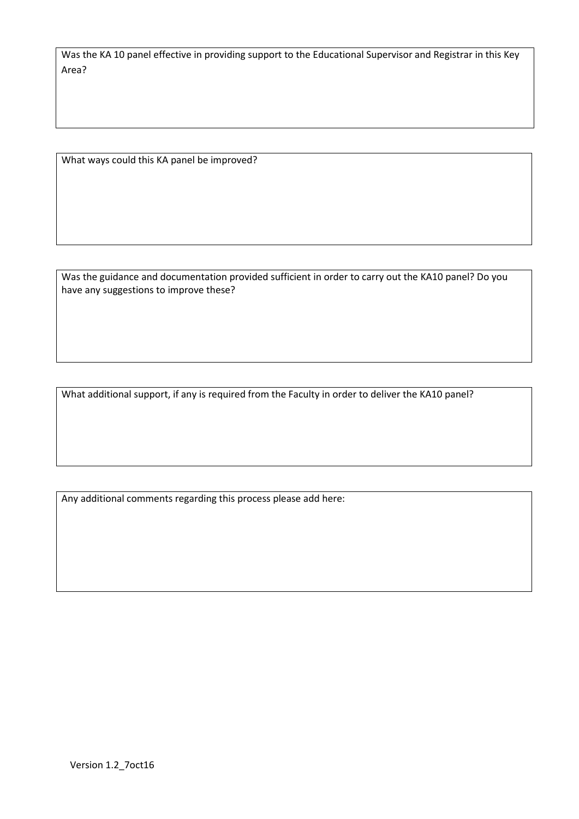Was the KA 10 panel effective in providing support to the Educational Supervisor and Registrar in this Key Area?

What ways could this KA panel be improved?

Was the guidance and documentation provided sufficient in order to carry out the KA10 panel? Do you have any suggestions to improve these?

What additional support, if any is required from the Faculty in order to deliver the KA10 panel?

Any additional comments regarding this process please add here: